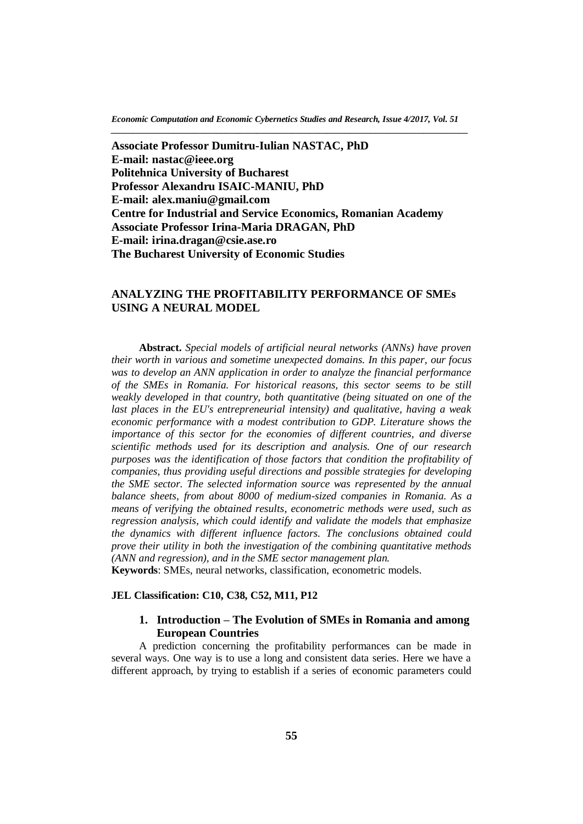*Economic Computation and Economic Cybernetics Studies and Research, Issue 4/2017, Vol. 51 \_\_\_\_\_\_\_\_\_\_\_\_\_\_\_\_\_\_\_\_\_\_\_\_\_\_\_\_\_\_\_\_\_\_\_\_\_\_\_\_\_\_\_\_\_\_\_\_\_\_\_\_\_\_\_\_\_\_\_\_\_\_\_\_\_\_\_\_\_\_\_\_\_\_\_\_\_\_\_\_\_*

**Associate Professor Dumitru-Iulian NASTAC, PhD E-mail: nastac@ieee.org Politehnica University of Bucharest Professor Alexandru ISAIC-MANIU, PhD E-mail: alex.maniu@gmail.com Centre for Industrial and Service Economics, Romanian Academy Associate Professor Irina-Maria DRAGAN, PhD E-mail: irina.dragan@csie.ase.ro The Bucharest University of Economic Studies**

# **ANALYZING THE PROFITABILITY PERFORMANCE OF SMEs USING A NEURAL MODEL**

**Abstract.** *Special models of artificial neural networks (ANNs) have proven their worth in various and sometime unexpected domains. In this paper, our focus was to develop an ANN application in order to analyze the financial performance of the SMEs in Romania. For historical reasons, this sector seems to be still weakly developed in that country, both quantitative (being situated on one of the last places in the EU's entrepreneurial intensity) and qualitative, having a weak economic performance with a modest contribution to GDP. Literature shows the importance of this sector for the economies of different countries, and diverse scientific methods used for its description and analysis. One of our research purposes was the identification of those factors that condition the profitability of companies, thus providing useful directions and possible strategies for developing the SME sector. The selected information source was represented by the annual balance sheets, from about 8000 of medium-sized companies in Romania. As a means of verifying the obtained results, econometric methods were used, such as regression analysis, which could identify and validate the models that emphasize the dynamics with different influence factors. The conclusions obtained could prove their utility in both the investigation of the combining quantitative methods (ANN and regression), and in the SME sector management plan.*

**Keywords**: SMEs, neural networks, classification, econometric models.

#### **JEL Classification: C10, C38, C52, M11, P12**

## **1. Introduction – The Evolution of SMEs in Romania and among European Countries**

A prediction concerning the profitability performances can be made in several ways. One way is to use a long and consistent data series. Here we have a different approach, by trying to establish if a series of economic parameters could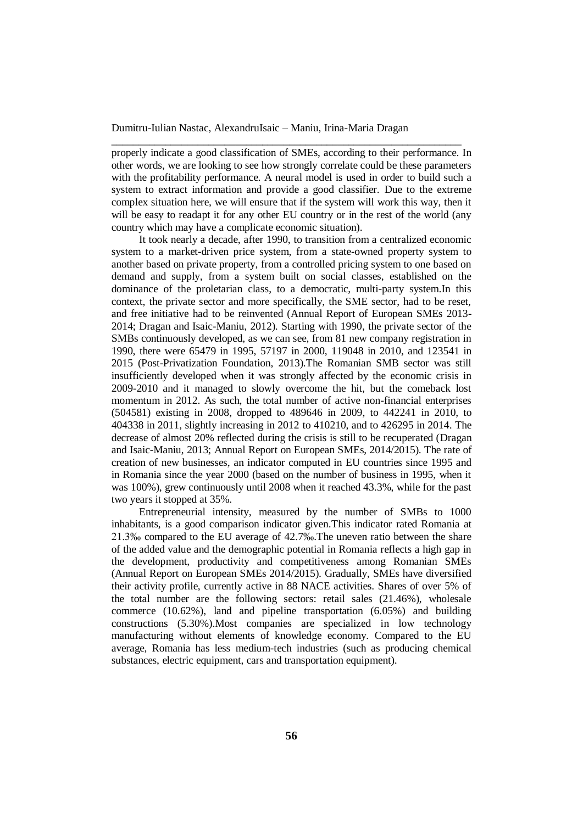properly indicate a good classification of SMEs, according to their performance. In other words, we are looking to see how strongly correlate could be these parameters with the profitability performance. A neural model is used in order to build such a system to extract information and provide a good classifier. Due to the extreme complex situation here, we will ensure that if the system will work this way, then it will be easy to readapt it for any other EU country or in the rest of the world (any country which may have a complicate economic situation).

\_\_\_\_\_\_\_\_\_\_\_\_\_\_\_\_\_\_\_\_\_\_\_\_\_\_\_\_\_\_\_\_\_\_\_\_\_\_\_\_\_\_\_\_\_\_\_\_\_\_\_\_\_\_\_\_\_\_\_\_\_\_\_\_\_

It took nearly a decade, after 1990, to transition from a centralized economic system to a market-driven price system, from a state-owned property system to another based on private property, from a controlled pricing system to one based on demand and supply, from a system built on social classes, established on the dominance of the proletarian class, to a democratic, multi-party system.In this context, the private sector and more specifically, the SME sector, had to be reset, and free initiative had to be reinvented (Annual Report of European SMEs 2013- 2014; Dragan and Isaic-Maniu, 2012). Starting with 1990, the private sector of the SMBs continuously developed, as we can see, from 81 new company registration in 1990, there were 65479 in 1995, 57197 in 2000, 119048 in 2010, and 123541 in 2015 (Post-Privatization Foundation, 2013).The Romanian SMB sector was still insufficiently developed when it was strongly affected by the economic crisis in 2009-2010 and it managed to slowly overcome the hit, but the comeback lost momentum in 2012. As such, the total number of active non-financial enterprises (504581) existing in 2008, dropped to 489646 in 2009, to 442241 in 2010, to 404338 in 2011, slightly increasing in 2012 to 410210, and to 426295 in 2014. The decrease of almost 20% reflected during the crisis is still to be recuperated (Dragan and Isaic-Maniu, 2013; Annual Report on European SMEs, 2014/2015). The rate of creation of new businesses, an indicator computed in EU countries since 1995 and in Romania since the year 2000 (based on the number of business in 1995, when it was 100%), grew continuously until 2008 when it reached 43.3%, while for the past two years it stopped at 35%.

Entrepreneurial intensity, measured by the number of SMBs to 1000 inhabitants, is a good comparison indicator given.This indicator rated Romania at 21.3‰ compared to the EU average of 42.7‰.The uneven ratio between the share of the added value and the demographic potential in Romania reflects a high gap in the development, productivity and competitiveness among Romanian SMEs (Annual Report on European SMEs 2014/2015). Gradually, SMEs have diversified their activity profile, currently active in 88 NACE activities. Shares of over 5% of the total number are the following sectors: retail sales (21.46%), wholesale commerce (10.62%), land and pipeline transportation (6.05%) and building constructions (5.30%).Most companies are specialized in low technology manufacturing without elements of knowledge economy. Compared to the EU average, Romania has less medium-tech industries (such as producing chemical substances, electric equipment, cars and transportation equipment).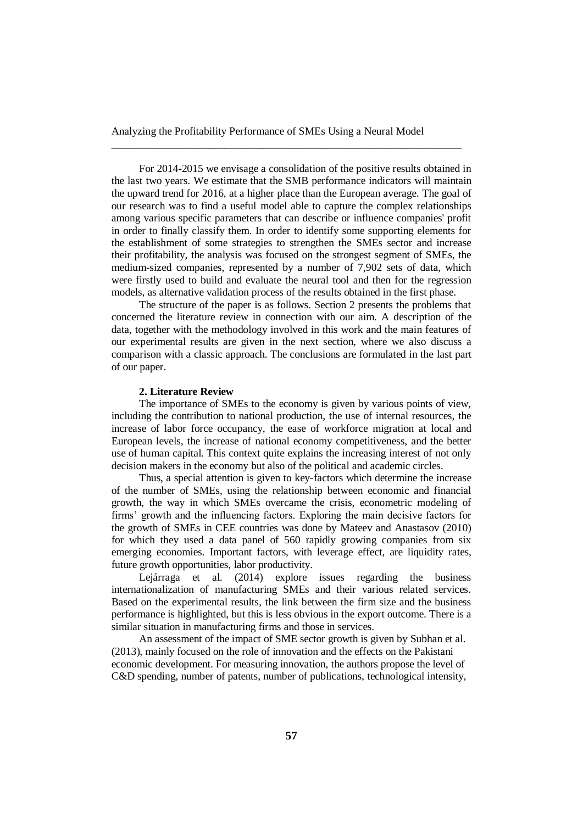\_\_\_\_\_\_\_\_\_\_\_\_\_\_\_\_\_\_\_\_\_\_\_\_\_\_\_\_\_\_\_\_\_\_\_\_\_\_\_\_\_\_\_\_\_\_\_\_\_\_\_\_\_\_\_\_\_\_\_\_\_\_\_\_\_

For 2014-2015 we envisage a consolidation of the positive results obtained in the last two years. We estimate that the SMB performance indicators will maintain the upward trend for 2016, at a higher place than the European average. The goal of our research was to find a useful model able to capture the complex relationships among various specific parameters that can describe or influence companies' profit in order to finally classify them. In order to identify some supporting elements for the establishment of some strategies to strengthen the SMEs sector and increase their profitability, the analysis was focused on the strongest segment of SMEs, the medium-sized companies, represented by a number of 7,902 sets of data, which were firstly used to build and evaluate the neural tool and then for the regression models, as alternative validation process of the results obtained in the first phase.

The structure of the paper is as follows. Section 2 presents the problems that concerned the literature review in connection with our aim. A description of the data, together with the methodology involved in this work and the main features of our experimental results are given in the next section, where we also discuss a comparison with a classic approach. The conclusions are formulated in the last part of our paper.

#### **2. Literature Review**

The importance of SMEs to the economy is given by various points of view, including the contribution to national production, the use of internal resources, the increase of labor force occupancy, the ease of workforce migration at local and European levels, the increase of national economy competitiveness, and the better use of human capital. This context quite explains the increasing interest of not only decision makers in the economy but also of the political and academic circles.

Thus, a special attention is given to key-factors which determine the increase of the number of SMEs, using the relationship between economic and financial growth, the way in which SMEs overcame the crisis, econometric modeling of firms' growth and the influencing factors. Exploring the main decisive factors for the growth of SMEs in CEE countries was done by Mateev and Anastasov (2010) for which they used a data panel of 560 rapidly growing companies from six emerging economies. Important factors, with leverage effect, are liquidity rates, future growth opportunities, labor productivity.

Lejárraga et al. (2014) explore issues regarding the business internationalization of manufacturing SMEs and their various related services. Based on the experimental results, the link between the firm size and the business performance is highlighted, but this is less obvious in the export outcome. There is a similar situation in manufacturing firms and those in services.

An assessment of the impact of SME sector growth is given by Subhan et al. (2013), mainly focused on the role of innovation and the effects on the Pakistani economic development. For measuring innovation, the authors propose the level of C&D spending, number of patents, number of publications, technological intensity,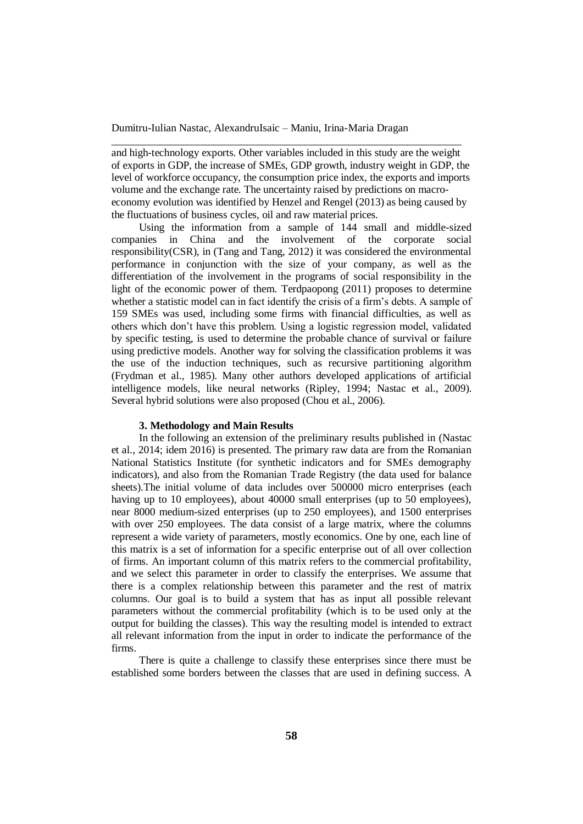and high-technology exports. Other variables included in this study are the weight of exports in GDP, the increase of SMEs, GDP growth, industry weight in GDP, the level of workforce occupancy, the consumption price index, the exports and imports volume and the exchange rate. The uncertainty raised by predictions on macroeconomy evolution was identified by Henzel and Rengel (2013) as being caused by the fluctuations of business cycles, oil and raw material prices.

\_\_\_\_\_\_\_\_\_\_\_\_\_\_\_\_\_\_\_\_\_\_\_\_\_\_\_\_\_\_\_\_\_\_\_\_\_\_\_\_\_\_\_\_\_\_\_\_\_\_\_\_\_\_\_\_\_\_\_\_\_\_\_\_\_

Using the information from a sample of 144 small and middle-sized companies in China and the involvement of the [corporate social](https://www.google.ro/url?sa=t&rct=j&q=&esrc=s&source=web&cd=1&cad=rja&uact=8&ved=0ahUKEwjslrzAgK_JAhVH0RQKHQ_KAocQFggiMAA&url=http%3A%2F%2Fwww.tandfonline.com%2Fdoi%2Ffull%2F10.1080%2F1331677X.2014.967535&usg=AFQjCNH7c3W42KaR2do0FGuNmeY9cjBDRQ)  [responsibility\(](https://www.google.ro/url?sa=t&rct=j&q=&esrc=s&source=web&cd=1&cad=rja&uact=8&ved=0ahUKEwjslrzAgK_JAhVH0RQKHQ_KAocQFggiMAA&url=http%3A%2F%2Fwww.tandfonline.com%2Fdoi%2Ffull%2F10.1080%2F1331677X.2014.967535&usg=AFQjCNH7c3W42KaR2do0FGuNmeY9cjBDRQ)CSR), in (Tang and Tang, 2012) it was considered the environmental performance in conjunction with the size of your company, as well as the differentiation of the involvement in the programs of social responsibility in the light of the economic power of them. Terdpaopong (2011) proposes to determine whether a statistic model can in fact identify the crisis of a firm's debts. A sample of 159 SMEs was used, including some firms with financial difficulties, as well as others which don't have this problem. Using a logistic regression model, validated by specific testing, is used to determine the probable chance of survival or failure using predictive models. Another way for solving the classification problems it was the use of the induction techniques, such as recursive partitioning algorithm (Frydman et al., 1985). Many other authors developed applications of artificial intelligence models, like neural networks (Ripley, 1994; Nastac et al., 2009). Several hybrid solutions were also proposed (Chou et al., 2006).

#### **3. Methodology and Main Results**

In the following an extension of the preliminary results published in (Nastac et al., 2014; idem 2016) is presented. The primary raw data are from the Romanian National Statistics Institute (for synthetic indicators and for SMEs demography indicators), and also from the Romanian Trade Registry (the data used for balance sheets).The initial volume of data includes over 500000 micro enterprises (each having up to 10 employees), about 40000 small enterprises (up to 50 employees). near 8000 medium-sized enterprises (up to 250 employees), and 1500 enterprises with over 250 employees. The data consist of a large matrix, where the columns represent a wide variety of parameters, mostly economics. One by one, each line of this matrix is a set of information for a specific enterprise out of all over collection of firms. An important column of this matrix refers to the commercial profitability, and we select this parameter in order to classify the enterprises. We assume that there is a complex relationship between this parameter and the rest of matrix columns. Our goal is to build a system that has as input all possible relevant parameters without the commercial profitability (which is to be used only at the output for building the classes). This way the resulting model is intended to extract all relevant information from the input in order to indicate the performance of the firms.

There is quite a challenge to classify these enterprises since there must be established some borders between the classes that are used in defining success. A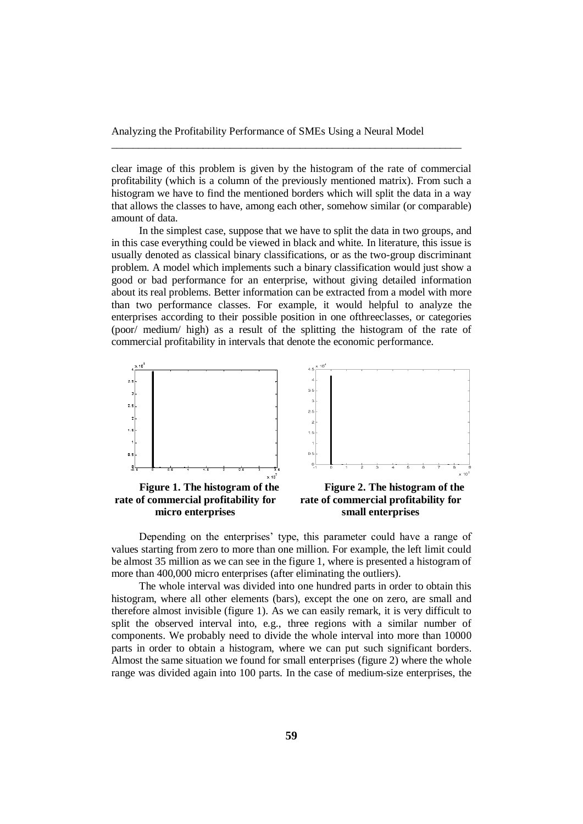clear image of this problem is given by the histogram of the rate of commercial profitability (which is a column of the previously mentioned matrix). From such a histogram we have to find the mentioned borders which will split the data in a way that allows the classes to have, among each other, somehow similar (or comparable) amount of data.

\_\_\_\_\_\_\_\_\_\_\_\_\_\_\_\_\_\_\_\_\_\_\_\_\_\_\_\_\_\_\_\_\_\_\_\_\_\_\_\_\_\_\_\_\_\_\_\_\_\_\_\_\_\_\_\_\_\_\_\_\_\_\_\_\_

In the simplest case, suppose that we have to split the data in two groups, and in this case everything could be viewed in black and white. In literature, this issue is usually denoted as classical binary classifications, or as the two-group discriminant problem. A model which implements such a binary classification would just show a good or bad performance for an enterprise, without giving detailed information about its real problems. Better information can be extracted from a model with more than two performance classes. For example, it would helpful to analyze the enterprises according to their possible position in one ofthreeclasses, or categories (poor/ medium/ high) as a result of the splitting the histogram of the rate of commercial profitability in intervals that denote the economic performance.



**rate of commercial profitability for micro enterprises**

**rate of commercial profitability for small enterprises**

Depending on the enterprises' type, this parameter could have a range of values starting from zero to more than one million. For example, the left limit could be almost 35 million as we can see in the figure 1, where is presented a histogram of more than 400,000 micro enterprises (after eliminating the outliers).

The whole interval was divided into one hundred parts in order to obtain this histogram, where all other elements (bars), except the one on zero, are small and therefore almost invisible (figure 1). As we can easily remark, it is very difficult to split the observed interval into, e.g., three regions with a similar number of components. We probably need to divide the whole interval into more than 10000 parts in order to obtain a histogram, where we can put such significant borders. Almost the same situation we found for small enterprises (figure 2) where the whole range was divided again into 100 parts. In the case of medium-size enterprises, the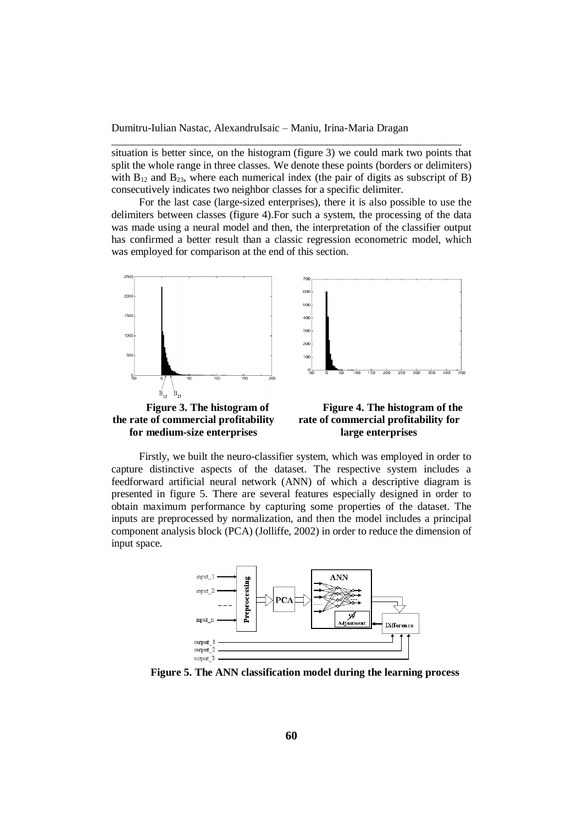situation is better since, on the histogram (figure 3) we could mark two points that split the whole range in three classes. We denote these points (borders or delimiters) with  $B_{12}$  and  $B_{23}$ , where each numerical index (the pair of digits as subscript of B) consecutively indicates two neighbor classes for a specific delimiter.

\_\_\_\_\_\_\_\_\_\_\_\_\_\_\_\_\_\_\_\_\_\_\_\_\_\_\_\_\_\_\_\_\_\_\_\_\_\_\_\_\_\_\_\_\_\_\_\_\_\_\_\_\_\_\_\_\_\_\_\_\_\_\_\_\_

For the last case (large-sized enterprises), there it is also possible to use the delimiters between classes (figure 4).For such a system, the processing of the data was made using a neural model and then, the interpretation of the classifier output has confirmed a better result than a classic regression econometric model, which was employed for comparison at the end of this section.



**for medium-size enterprises**

**rate of commercial profitability for large enterprises**

Firstly, we built the neuro-classifier system, which was employed in order to capture distinctive aspects of the dataset. The respective system includes a feedforward artificial neural network (ANN) of which a descriptive diagram is presented in figure 5. There are several features especially designed in order to obtain maximum performance by capturing some properties of the dataset. The inputs are preprocessed by normalization, and then the model includes a principal component analysis block (PCA) (Jolliffe, 2002) in order to reduce the dimension of input space.



**Figure 5. The ANN classification model during the learning process**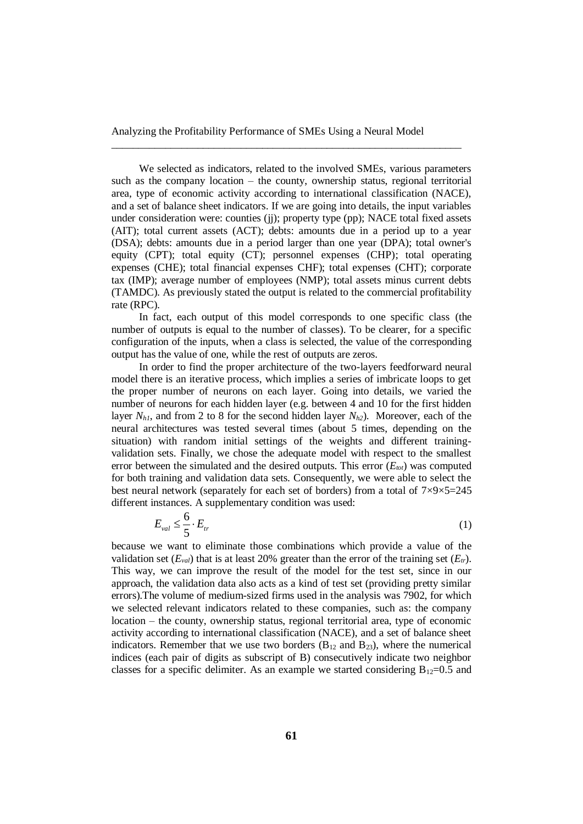\_\_\_\_\_\_\_\_\_\_\_\_\_\_\_\_\_\_\_\_\_\_\_\_\_\_\_\_\_\_\_\_\_\_\_\_\_\_\_\_\_\_\_\_\_\_\_\_\_\_\_\_\_\_\_\_\_\_\_\_\_\_\_\_\_

We selected as indicators, related to the involved SMEs, various parameters such as the company location – the county, ownership status, regional territorial area, type of economic activity according to international classification (NACE), and a set of balance sheet indicators. If we are going into details, the input variables under consideration were: counties (jj); property type (pp); NACE total fixed assets (AIT); total current assets (ACT); debts: amounts due in a period up to a year (DSA); debts: amounts due in a period larger than one year (DPA); total owner's equity (CPT); total equity (CT); personnel expenses (CHP); total operating expenses (CHE); total financial expenses CHF); total expenses (CHT); corporate tax (IMP); average number of employees (NMP); total assets minus current debts (TAMDC). As previously stated the output is related to the commercial profitability rate (RPC).

In fact, each output of this model corresponds to one specific class (the number of outputs is equal to the number of classes). To be clearer, for a specific configuration of the inputs, when a class is selected, the value of the corresponding output has the value of one, while the rest of outputs are zeros.

In order to find the proper architecture of the two-layers feedforward neural model there is an iterative process, which implies a series of imbricate loops to get the proper number of neurons on each layer. Going into details, we varied the number of neurons for each hidden layer (e.g. between 4 and 10 for the first hidden layer *Nh1*, and from 2 to 8 for the second hidden layer *Nh2*). Moreover, each of the neural architectures was tested several times (about 5 times, depending on the situation) with random initial settings of the weights and different trainingvalidation sets. Finally, we chose the adequate model with respect to the smallest error between the simulated and the desired outputs. This error  $(E_{tot})$  was computed for both training and validation data sets. Consequently, we were able to select the best neural network (separately for each set of borders) from a total of  $7\times9\times5=245$ different instances. A supplementary condition was used:

$$
E_{val} \le \frac{6}{5} \cdot E_{tr} \tag{1}
$$

because we want to eliminate those combinations which provide a value of the validation set  $(E_{val})$  that is at least 20% greater than the error of the training set  $(E_{tr})$ . This way, we can improve the result of the model for the test set, since in our approach, the validation data also acts as a kind of test set (providing pretty similar errors).The volume of medium-sized firms used in the analysis was 7902, for which we selected relevant indicators related to these companies, such as: the company location – the county, ownership status, regional territorial area, type of economic activity according to international classification (NACE), and a set of balance sheet indicators. Remember that we use two borders  $(B_{12}$  and  $B_{23})$ , where the numerical indices (each pair of digits as subscript of B) consecutively indicate two neighbor classes for a specific delimiter. As an example we started considering  $B_{12}=0.5$  and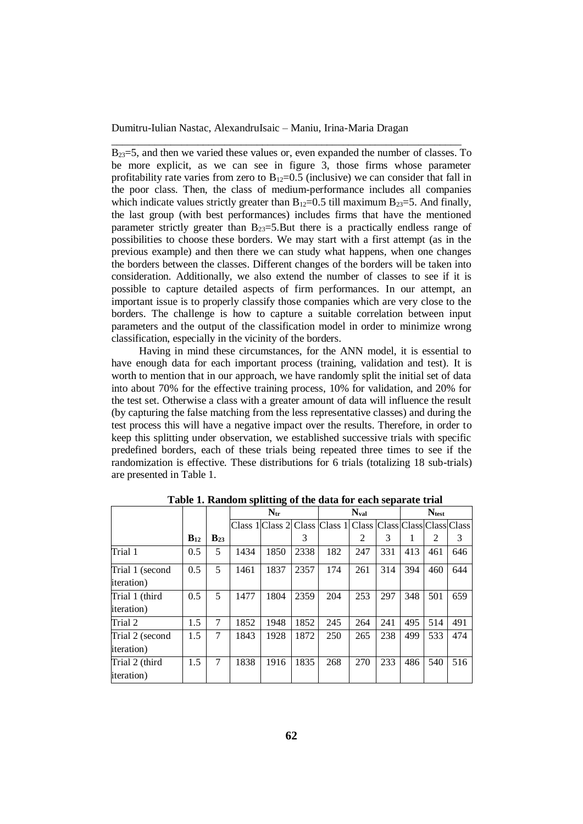$B_{23}=5$ , and then we varied these values or, even expanded the number of classes. To be more explicit, as we can see in figure 3, those firms whose parameter profitability rate varies from zero to  $B_{12}=0.5$  (inclusive) we can consider that fall in the poor class. Then, the class of medium-performance includes all companies which indicate values strictly greater than  $B_{12}=0.5$  till maximum  $B_{23}=5$ . And finally, the last group (with best performances) includes firms that have the mentioned parameter strictly greater than  $B_{23}=5$ . But there is a practically endless range of possibilities to choose these borders. We may start with a first attempt (as in the previous example) and then there we can study what happens, when one changes the borders between the classes. Different changes of the borders will be taken into consideration. Additionally, we also extend the number of classes to see if it is possible to capture detailed aspects of firm performances. In our attempt, an important issue is to properly classify those companies which are very close to the borders. The challenge is how to capture a suitable correlation between input parameters and the output of the classification model in order to minimize wrong classification, especially in the vicinity of the borders.

\_\_\_\_\_\_\_\_\_\_\_\_\_\_\_\_\_\_\_\_\_\_\_\_\_\_\_\_\_\_\_\_\_\_\_\_\_\_\_\_\_\_\_\_\_\_\_\_\_\_\_\_\_\_\_\_\_\_\_\_\_\_\_\_\_

Having in mind these circumstances, for the ANN model, it is essential to have enough data for each important process (training, validation and test). It is worth to mention that in our approach, we have randomly split the initial set of data into about 70% for the effective training process, 10% for validation, and 20% for the test set. Otherwise a class with a greater amount of data will influence the result (by capturing the false matching from the less representative classes) and during the test process this will have a negative impact over the results. Therefore, in order to keep this splitting under observation, we established successive trials with specific predefined borders, each of these trials being repeated three times to see if the randomization is effective. These distributions for 6 trials (totalizing 18 sub-trials) are presented in Table 1.

|                    |          |          |      | $N_{tr}$                                                          |      |     | <b>Nval</b> |     |     | <b>Ntest</b> |     |
|--------------------|----------|----------|------|-------------------------------------------------------------------|------|-----|-------------|-----|-----|--------------|-----|
|                    |          |          |      | Class 1 Class 2 Class Class 1 Class Class Class Class Class Class |      |     |             |     |     |              |     |
|                    | $B_{12}$ | $B_{23}$ |      |                                                                   | 3    |     | 2           | 3   | л.  | 2            | 3   |
| Trial 1            | 0.5      | 5        | 1434 | 1850                                                              | 2338 | 182 | 247         | 331 | 413 | 461          | 646 |
| Trial 1 (second    | 0.5      | 5        | 1461 | 1837                                                              | 2357 | 174 | 261         | 314 | 394 | 460          | 644 |
| <i>iteration</i> ) |          |          |      |                                                                   |      |     |             |     |     |              |     |
| Trial 1 (third     | 0.5      | 5        | 1477 | 1804                                                              | 2359 | 204 | 253         | 297 | 348 | 501          | 659 |
| <i>iteration</i> ) |          |          |      |                                                                   |      |     |             |     |     |              |     |
| Trial 2            | 1.5      | 7        | 1852 | 1948                                                              | 1852 | 245 | 264         | 241 | 495 | 514          | 491 |
| Trial 2 (second    | 1.5      | 7        | 1843 | 1928                                                              | 1872 | 250 | 265         | 238 | 499 | 533          | 474 |
| <i>iteration</i> ) |          |          |      |                                                                   |      |     |             |     |     |              |     |
| Trial 2 (third     | 1.5      | 7        | 1838 | 1916                                                              | 1835 | 268 | 270         | 233 | 486 | 540          | 516 |
| <i>iteration</i> ) |          |          |      |                                                                   |      |     |             |     |     |              |     |

**Table 1. Random splitting of the data for each separate trial**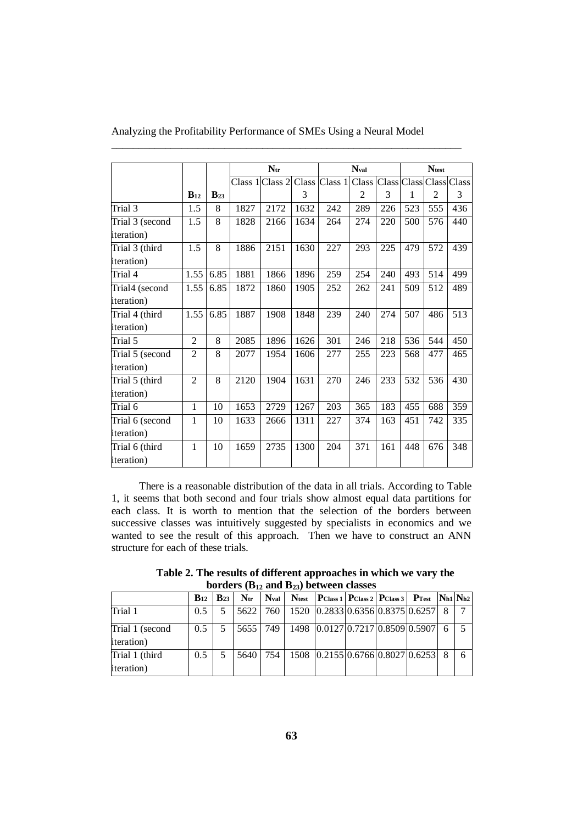|                    |                |          |      | $N_{tr}$        |      |               | $\mathbf{N}_{\text{val}}$ |     |                  | <b>Ntest</b>   |              |
|--------------------|----------------|----------|------|-----------------|------|---------------|---------------------------|-----|------------------|----------------|--------------|
|                    |                |          |      | Class 1 Class 2 |      | Class Class 1 | Class Class Class Class   |     |                  |                | <b>Class</b> |
|                    | $B_{12}$       | $B_{23}$ |      |                 | 3    |               | 2                         | 3   | 1                | $\overline{2}$ | 3            |
| Trial 3            | 1.5            | 8        | 1827 | 2172            | 1632 | 242           | 289                       | 226 | 523              | 555            | 436          |
| Trial 3 (second    | 1.5            | 8        | 1828 | 2166            | 1634 | 264           | 274                       | 220 | 500              | 576            | 440          |
| iteration)         |                |          |      |                 |      |               |                           |     |                  |                |              |
| Trial 3 (third     | 1.5            | 8        | 1886 | 2151            | 1630 | 227           | 293                       | 225 | 479              | 572            | 439          |
| <i>iteration</i> ) |                |          |      |                 |      |               |                           |     |                  |                |              |
| Trial 4            | 1.55           | 6.85     | 1881 | 1866            | 1896 | 259           | 254                       | 240 | 493              | 514            | 499          |
| Trial4 (second     | 1.55           | 6.85     | 1872 | 1860            | 1905 | 252           | 262                       | 241 | 509              | 512            | 489          |
| iteration)         |                |          |      |                 |      |               |                           |     |                  |                |              |
| Trial 4 (third     | 1.55           | 6.85     | 1887 | 1908            | 1848 | 239           | 240                       | 274 | 507              | 486            | 513          |
| <i>iteration</i> ) |                |          |      |                 |      |               |                           |     |                  |                |              |
| Trial 5            | $\overline{2}$ | 8        | 2085 | 1896            | 1626 | 301           | 246                       | 218 | 536              | 544            | 450          |
| Trial 5 (second    | $\overline{2}$ | 8        | 2077 | 1954            | 1606 | 277           | 255                       | 223 | 568              | 477            | 465          |
| iteration)         |                |          |      |                 |      |               |                           |     |                  |                |              |
| Trial 5 (third     | $\overline{2}$ | 8        | 2120 | 1904            | 1631 | 270           | 246                       | 233 | $\overline{532}$ | 536            | 430          |
| <i>iteration</i> ) |                |          |      |                 |      |               |                           |     |                  |                |              |
| Trial 6            | 1              | 10       | 1653 | 2729            | 1267 | 203           | 365                       | 183 | 455              | 688            | 359          |
| Trial 6 (second    | 1              | 10       | 1633 | 2666            | 1311 | 227           | 374                       | 163 | 451              | 742            | 335          |
| iteration)         |                |          |      |                 |      |               |                           |     |                  |                |              |
| Trial 6 (third     | 1              | 10       | 1659 | 2735            | 1300 | 204           | 371                       | 161 | 448              | 676            | 348          |
| <i>iteration</i> ) |                |          |      |                 |      |               |                           |     |                  |                |              |

Analyzing the Profitability Performance of SMEs Using a Neural Model

\_\_\_\_\_\_\_\_\_\_\_\_\_\_\_\_\_\_\_\_\_\_\_\_\_\_\_\_\_\_\_\_\_\_\_\_\_\_\_\_\_\_\_\_\_\_\_\_\_\_\_\_\_\_\_\_\_\_\_\_\_\_\_\_\_

There is a reasonable distribution of the data in all trials. According to Table 1, it seems that both second and four trials show almost equal data partitions for each class. It is worth to mention that the selection of the borders between successive classes was intuitively suggested by specialists in economics and we wanted to see the result of this approach. Then we have to construct an ANN structure for each of these trials.

**Table 2. The results of different approaches in which we vary the borders (B<sup>12</sup> and B23) between classes**

|                                       |               | $B_{12}$   $B_{23}$ |  | $N_{tr}$ $N_{val}$ $N_{test}$ $P_{Class 1}$ $P_{Class 2}$ $P_{Class 3}$ $P_{Test}$ $N_{h1}$ $N_{h2}$ |  |  |  |
|---------------------------------------|---------------|---------------------|--|------------------------------------------------------------------------------------------------------|--|--|--|
| Trial 1                               | 0.5           |                     |  | 5622   760   1520   0.2833   0.6356   0.8375   0.6257   8                                            |  |  |  |
| Trial 1 (second<br><i>iteration</i> ) | $0.5^{\circ}$ | 5                   |  | $ 5655 749 1498 0.0127 0.7217 0.8509 0.5907 6$                                                       |  |  |  |
|                                       |               |                     |  |                                                                                                      |  |  |  |
| Trial 1 (third                        | 0.5           |                     |  | 5640   754   1508   0.2155   0.6766   0.8027   0.6253   8                                            |  |  |  |
| <i>iteration</i> )                    |               |                     |  |                                                                                                      |  |  |  |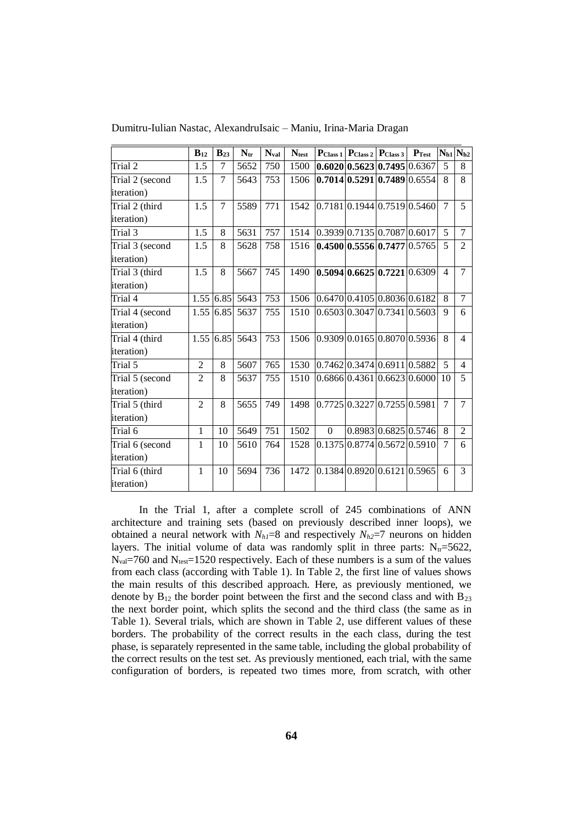|                    | $B_{12}$       | $B_{23}$ | $N_{tr}$ | <b>Nval</b> | <b>Ntest</b> |                              | $\left  \mathbf{P}_{\text{Class } 1} \right  \left  \mathbf{P}_{\text{Class } 2} \right  \left  \mathbf{P}_{\text{Class } 3} \right $ |                      | $P_{Test}$ |                | $N_{h1}$ $N_{h2}$ |
|--------------------|----------------|----------|----------|-------------|--------------|------------------------------|---------------------------------------------------------------------------------------------------------------------------------------|----------------------|------------|----------------|-------------------|
| Trial 2            | 1.5            | 7        | 5652     | 750         | 1500         |                              | 0.6020 0.5623 0.7495 0.6367                                                                                                           |                      |            | 5              | 8                 |
| Trial 2 (second    | 1.5            | 7        | 5643     | 753         | 1506         |                              | $0.7014 \mid 0.5291 \mid 0.7489 \mid 0.6554$                                                                                          |                      |            | 8              | 8                 |
| iteration)         |                |          |          |             |              |                              |                                                                                                                                       |                      |            |                |                   |
| Trial 2 (third     | 1.5            | 7        | 5589     | 771         | 1542         |                              | 0.7181 0.1944 0.7519 0.5460                                                                                                           |                      |            | 7              | 5                 |
| <i>iteration</i> ) |                |          |          |             |              |                              |                                                                                                                                       |                      |            |                |                   |
| Trial 3            | 1.5            | 8        | 5631     | 757         | 1514         | 0.3939 0.7135 0.7087 0.6017  |                                                                                                                                       |                      |            | 5              | 7                 |
| Trial 3 (second    | 1.5            | 8        | 5628     | 758         | 1516         |                              | 0.4500 0.5556 0.7477 0.5765                                                                                                           |                      |            | 5              | 2                 |
| iteration)         |                |          |          |             |              |                              |                                                                                                                                       |                      |            |                |                   |
| Trial 3 (third     | 1.5            | 8        | 5667     | 745         | 1490         |                              | 0.5094 0.6625 0.7221 0.6309                                                                                                           |                      |            | $\overline{4}$ | 7                 |
| <i>iteration</i> ) |                |          |          |             |              |                              |                                                                                                                                       |                      |            |                |                   |
| Trial 4            | 1.55           | 6.85     | 5643     | 753         | 1506         | [0.6470]0.4105]0.8036]0.6182 |                                                                                                                                       |                      |            | 8              | $\tau$            |
| Trial 4 (second    | 1.55           | 6.85     | 5637     | 755         | 1510         |                              | $0.6503 \mid 0.3047 \mid 0.7341 \mid 0.5603$                                                                                          |                      |            | 9              | 6                 |
| iteration)         |                |          |          |             |              |                              |                                                                                                                                       |                      |            |                |                   |
| Trial 4 (third     | 1.55           | 6.85     | 5643     | 753         | 1506         |                              | 0.9309 0.0165 0.8070 0.5936                                                                                                           |                      |            | 8              | $\overline{4}$    |
| iteration)         |                |          |          |             |              |                              |                                                                                                                                       |                      |            |                |                   |
| Trial 5            | $\overline{2}$ | 8        | 5607     | 765         | 1530         | [0.7462]0.3474]0.6911]0.5882 |                                                                                                                                       |                      |            | 5              | $\overline{4}$    |
| Trial 5 (second    | $\overline{2}$ | 8        | 5637     | 755         | 1510         |                              | 0.686610.436110.662310.6000                                                                                                           |                      |            | 10             | 5                 |
| iteration)         |                |          |          |             |              |                              |                                                                                                                                       |                      |            |                |                   |
| Trial 5 (third     | $\overline{2}$ | 8        | 5655     | 749         | 1498         |                              | 0.7725 0.3227 0.7255 0.5981                                                                                                           |                      |            | 7              | 7                 |
| iteration)         |                |          |          |             |              |                              |                                                                                                                                       |                      |            |                |                   |
| Trial 6            | $\mathbf{1}$   | 10       | 5649     | 751         | 1502         | $\Omega$                     |                                                                                                                                       | 0.8983 0.6825 0.5746 |            | 8              | 2                 |
| Trial 6 (second    | 1              | 10       | 5610     | 764         | 1528         |                              | 0.137510.877410.567210.5910                                                                                                           |                      |            | 7              | 6                 |
| iteration)         |                |          |          |             |              |                              |                                                                                                                                       |                      |            |                |                   |
| Trial 6 (third     | 1              | 10       | 5694     | 736         | 1472         |                              | 0.1384 0.8920 0.6121 0.5965                                                                                                           |                      |            | 6              | 3                 |
| iteration)         |                |          |          |             |              |                              |                                                                                                                                       |                      |            |                |                   |

Dumitru-Iulian Nastac, AlexandruIsaic – Maniu, Irina-Maria Dragan

In the Trial 1, after a complete scroll of 245 combinations of ANN architecture and training sets (based on previously described inner loops), we obtained a neural network with  $N_h = 8$  and respectively  $N_h = 7$  neurons on hidden layers. The initial volume of data was randomly split in three parts:  $N_{tr}=5622$ ,  $N_{val}=760$  and  $N_{test}=1520$  respectively. Each of these numbers is a sum of the values from each class (according with Table 1). In Table 2, the first line of values shows the main results of this described approach. Here, as previously mentioned, we denote by  $B_{12}$  the border point between the first and the second class and with  $B_{23}$ the next border point, which splits the second and the third class (the same as in Table 1). Several trials, which are shown in Table 2, use different values of these borders. The probability of the correct results in the each class, during the test phase, is separately represented in the same table, including the global probability of the correct results on the test set. As previously mentioned, each trial, with the same configuration of borders, is repeated two times more, from scratch, with other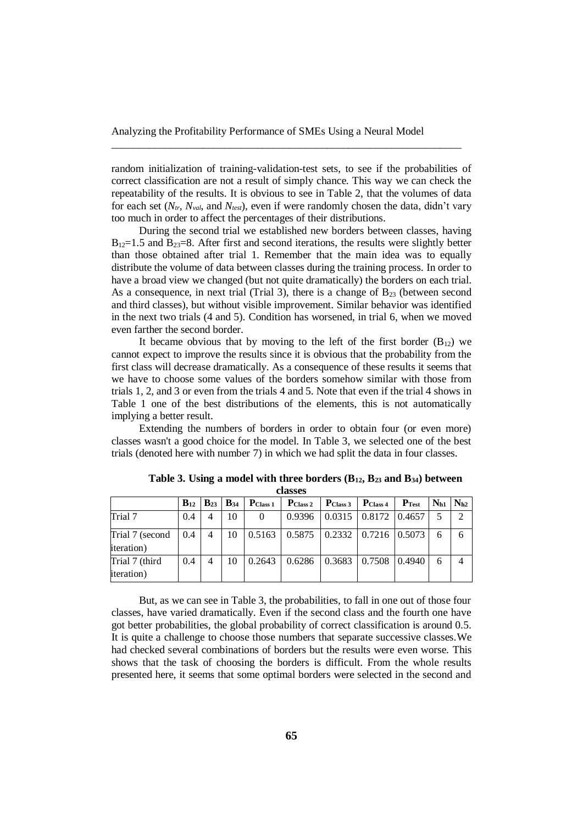random initialization of training-validation-test sets, to see if the probabilities of correct classification are not a result of simply chance. This way we can check the repeatability of the results. It is obvious to see in Table 2, that the volumes of data for each set (*Ntr, Nval*, and *Ntest*), even if were randomly chosen the data, didn't vary too much in order to affect the percentages of their distributions.

\_\_\_\_\_\_\_\_\_\_\_\_\_\_\_\_\_\_\_\_\_\_\_\_\_\_\_\_\_\_\_\_\_\_\_\_\_\_\_\_\_\_\_\_\_\_\_\_\_\_\_\_\_\_\_\_\_\_\_\_\_\_\_\_\_

During the second trial we established new borders between classes, having  $B_{12}=1.5$  and  $B_{23}=8$ . After first and second iterations, the results were slightly better than those obtained after trial 1. Remember that the main idea was to equally distribute the volume of data between classes during the training process. In order to have a broad view we changed (but not quite dramatically) the borders on each trial. As a consequence, in next trial (Trial 3), there is a change of  $B_{23}$  (between second and third classes), but without visible improvement. Similar behavior was identified in the next two trials (4 and 5). Condition has worsened, in trial 6, when we moved even farther the second border.

It became obvious that by moving to the left of the first border  $(B_{12})$  we cannot expect to improve the results since it is obvious that the probability from the first class will decrease dramatically. As a consequence of these results it seems that we have to choose some values of the borders somehow similar with those from trials 1, 2, and 3 or even from the trials 4 and 5. Note that even if the trial 4 shows in Table 1 one of the best distributions of the elements, this is not automatically implying a better result.

Extending the numbers of borders in order to obtain four (or even more) classes wasn't a good choice for the model. In Table 3, we selected one of the best trials (denoted here with number 7) in which we had split the data in four classes.

|                                       | $B_{12}$ | $\mid$ B <sub>23</sub>   B <sub>34</sub> |    | $P_{Class 1}$ | P <sub>Class 2</sub> | $P_{Class 3}$   $P_{Class 4}$   |                                | $P_{Test}$ | $N_{h1}$ $N_{h2}$ |  |
|---------------------------------------|----------|------------------------------------------|----|---------------|----------------------|---------------------------------|--------------------------------|------------|-------------------|--|
| Trial 7                               | 0.4      | 4                                        | 10 | $\Omega$      | 0.9396               |                                 | $0.0315$   $0.8172$   $0.4657$ |            |                   |  |
| Trial 7 (second<br><i>iteration</i> ) | 0.4      | 4                                        | 10 | 0.5163        | 0.5875               | $\mid$ 0.2332   0.7216   0.5073 |                                |            |                   |  |
| Trial 7 (third<br><i>iteration</i> )  | 0.4      | 4                                        | 10 | 0.2643        | 0.6286               |                                 | $0.3683$   0.7508   0.4940     |            | 6                 |  |

**Table 3. Using a model with three borders (B12, B<sup>23</sup> and B34) between classes**

But, as we can see in Table 3, the probabilities, to fall in one out of those four classes, have varied dramatically. Even if the second class and the fourth one have got better probabilities, the global probability of correct classification is around 0.5. It is quite a challenge to choose those numbers that separate successive classes.We had checked several combinations of borders but the results were even worse. This shows that the task of choosing the borders is difficult. From the whole results presented here, it seems that some optimal borders were selected in the second and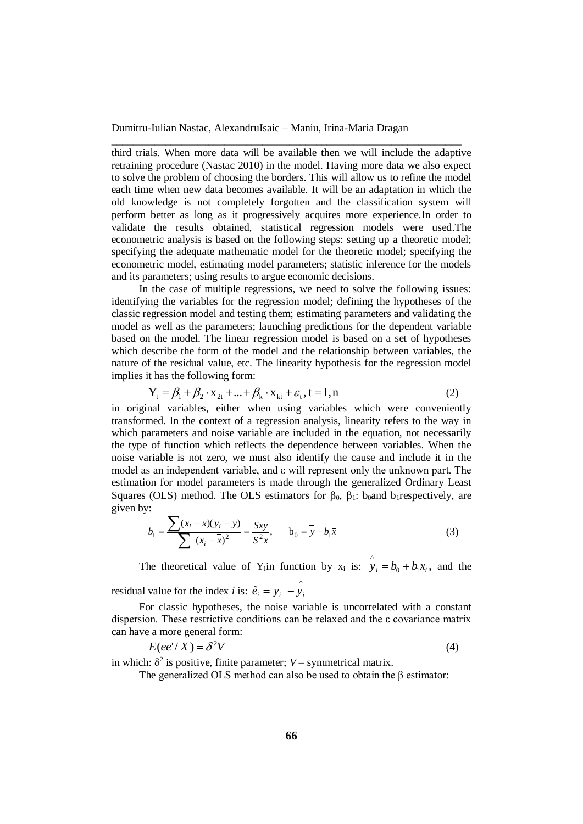third trials. When more data will be available then we will include the adaptive retraining procedure (Nastac 2010) in the model. Having more data we also expect to solve the problem of choosing the borders. This will allow us to refine the model each time when new data becomes available. It will be an adaptation in which the old knowledge is not completely forgotten and the classification system will perform better as long as it progressively acquires more experience.In order to validate the results obtained, statistical regression models were used.The econometric analysis is based on the following steps: setting up a theoretic model; specifying the adequate mathematic model for the theoretic model; specifying the econometric model, estimating model parameters; statistic inference for the models and its parameters; using results to argue economic decisions.

\_\_\_\_\_\_\_\_\_\_\_\_\_\_\_\_\_\_\_\_\_\_\_\_\_\_\_\_\_\_\_\_\_\_\_\_\_\_\_\_\_\_\_\_\_\_\_\_\_\_\_\_\_\_\_\_\_\_\_\_\_\_\_\_\_

In the case of multiple regressions, we need to solve the following issues: identifying the variables for the regression model; defining the hypotheses of the classic regression model and testing them; estimating parameters and validating the model as well as the parameters; launching predictions for the dependent variable based on the model. The linear regression model is based on a set of hypotheses which describe the form of the model and the relationship between variables, the nature of the residual value, etc. The linearity hypothesis for the regression model implies it has the following form:

$$
Y_{t} = \beta_{1} + \beta_{2} \cdot x_{2t} + ... + \beta_{k} \cdot x_{kt} + \varepsilon_{t}, t = 1, n
$$
 (2)

in original variables, either when using variables which were conveniently transformed. In the context of a regression analysis, linearity refers to the way in which parameters and noise variable are included in the equation, not necessarily the type of function which reflects the dependence between variables. When the noise variable is not zero, we must also identify the cause and include it in the model as an independent variable, and ε will represent only the unknown part. The estimation for model parameters is made through the generalized Ordinary Least Squares (OLS) method. The OLS estimators for  $\beta_0$ ,  $\beta_1$ : b<sub>0</sub>and b<sub>1</sub>respectively, are given by:

$$
b_1 = \frac{\sum (x_i - \bar{x})(y_i - \bar{y})}{\sum (x_i - \bar{x})^2} = \frac{Sxy}{S^2x}, \qquad b_0 = \bar{y} - b_1\bar{x}
$$
 (3)

The theoretical value of Y<sub>i</sub>in function by  $x_i$  is:  $\hat{y}_i = b_0 + b_1 x_i$ **,** and the  $\wedge$ 

residual value for the index *i* is:  $\hat{e}_i = y_i - y_i$ 

For classic hypotheses, the noise variable is uncorrelated with a constant dispersion. These restrictive conditions can be relaxed and the ε covariance matrix can have a more general form:

$$
E(ee^t/X) = \delta^2 V \tag{4}
$$

in which:  $\delta^2$  is positive, finite parameter; *V* – symmetrical matrix.

The generalized OLS method can also be used to obtain the  $\beta$  estimator: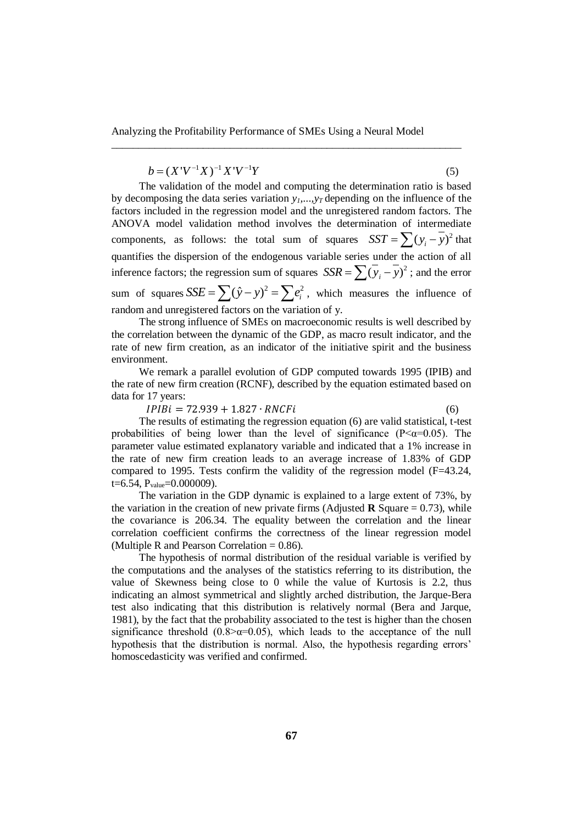\_\_\_\_\_\_\_\_\_\_\_\_\_\_\_\_\_\_\_\_\_\_\_\_\_\_\_\_\_\_\_\_\_\_\_\_\_\_\_\_\_\_\_\_\_\_\_\_\_\_\_\_\_\_\_\_\_\_\_\_\_\_\_\_\_

 $b = (X'V^{-1}X)^{-1}X'V^{-1}Y$ (5)

The validation of the model and computing the determination ratio is based by decomposing the data series variation  $y_1, \ldots, y_T$  depending on the influence of the factors included in the regression model and the unregistered random factors. The ANOVA model validation method involves the determination of intermediate components, as follows: the total sum of squares  $SST = \sum (y_i - y_i)^2$  that quantifies the dispersion of the endogenous variable series under the action of all inference factors; the regression sum of squares  $SSR = \sum (\overline{y}_i - \overline{y})^2$ ; and the error sum of squares  $SSE = \sum (\hat{y} - y)^2 = \sum e_i^2$ , which measures the influence of random and unregistered factors on the variation of y.

The strong influence of SMEs on macroeconomic results is well described by the correlation between the dynamic of the GDP, as macro result indicator, and the rate of new firm creation, as an indicator of the initiative spirit and the business environment.

We remark a parallel evolution of GDP computed towards 1995 (IPIB) and the rate of new firm creation (RCNF), described by the equation estimated based on data for 17 years:

 $IPIBi = 72.939 + 1.827 \cdot RNCFi$  (6)

The results of estimating the regression equation (6) are valid statistical, t-test probabilities of being lower than the level of significance ( $P \leq \alpha = 0.05$ ). The parameter value estimated explanatory variable and indicated that a 1% increase in the rate of new firm creation leads to an average increase of 1.83% of GDP compared to 1995. Tests confirm the validity of the regression model (F=43.24, t=6.54,  $P_{value}$ =0.000009).

The variation in the GDP dynamic is explained to a large extent of 73%, by the variation in the creation of new private firms (Adjusted **R** Square  $= 0.73$ ), while the covariance is 206.34. The equality between the correlation and the linear correlation coefficient confirms the correctness of the linear regression model (Multiple R and Pearson Correlation  $= 0.86$ ).

The hypothesis of normal distribution of the residual variable is verified by the computations and the analyses of the statistics referring to its distribution, the value of Skewness being close to 0 while the value of Kurtosis is 2.2, thus indicating an almost symmetrical and slightly arched distribution, the Jarque-Bera test also indicating that this distribution is relatively normal (Bera and Jarque, 1981), by the fact that the probability associated to the test is higher than the chosen significance threshold ( $0.8$  $\sim$  $\alpha$ = $0.05$ ), which leads to the acceptance of the null hypothesis that the distribution is normal. Also, the hypothesis regarding errors' homoscedasticity was verified and confirmed.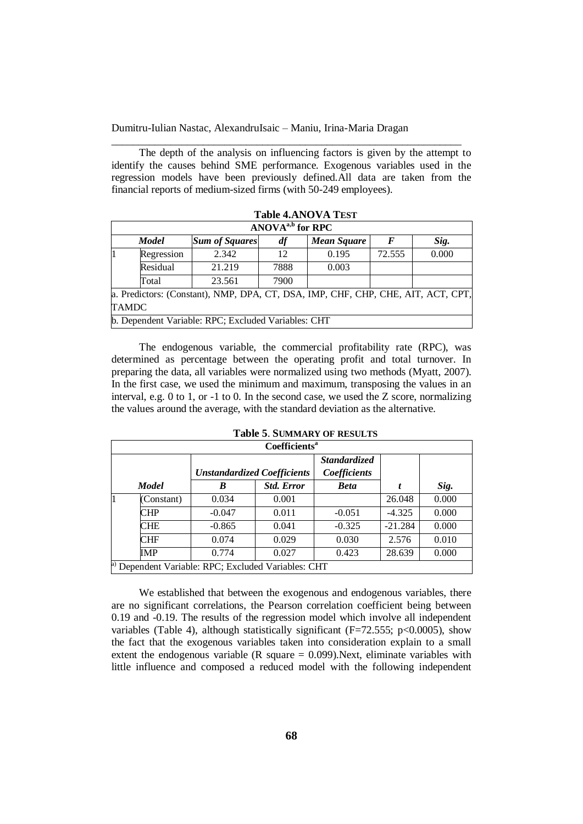The depth of the analysis on influencing factors is given by the attempt to identify the causes behind SME performance. Exogenous variables used in the regression models have been previously defined.All data are taken from the financial reports of medium-sized firms (with 50-249 employees).

\_\_\_\_\_\_\_\_\_\_\_\_\_\_\_\_\_\_\_\_\_\_\_\_\_\_\_\_\_\_\_\_\_\_\_\_\_\_\_\_\_\_\_\_\_\_\_\_\_\_\_\_\_\_\_\_\_\_\_\_\_\_\_\_\_

|              | ANOVA <sup>a,b</sup> for RPC |                                                                                  |      |                    |        |       |  |  |  |  |  |  |
|--------------|------------------------------|----------------------------------------------------------------------------------|------|--------------------|--------|-------|--|--|--|--|--|--|
|              | <b>Model</b>                 | <b>Sum of Squares</b>                                                            | df   | <b>Mean Square</b> | F      | Sig.  |  |  |  |  |  |  |
| l1           | Regression                   | 2.342                                                                            | 12   | 0.195              | 72.555 | 0.000 |  |  |  |  |  |  |
|              | Residual                     | 21.219                                                                           | 7888 | 0.003              |        |       |  |  |  |  |  |  |
|              | Total                        | 23.561                                                                           | 7900 |                    |        |       |  |  |  |  |  |  |
|              |                              | a. Predictors: (Constant), NMP, DPA, CT, DSA, IMP, CHF, CHP, CHE, AIT, ACT, CPT, |      |                    |        |       |  |  |  |  |  |  |
| <b>TAMDC</b> |                              |                                                                                  |      |                    |        |       |  |  |  |  |  |  |
|              |                              | b. Dependent Variable: RPC; Excluded Variables: CHT                              |      |                    |        |       |  |  |  |  |  |  |

**Table 4.ANOVA TEST**

The endogenous variable, the commercial profitability rate (RPC), was determined as percentage between the operating profit and total turnover. In preparing the data, all variables were normalized using two methods (Myatt, 2007). In the first case, we used the minimum and maximum, transposing the values in an interval, e.g. 0 to 1, or -1 to 0. In the second case, we used the Z score, normalizing the values around the average, with the standard deviation as the alternative.

| <b>Coefficients<sup>a</sup></b> |                                                     |                   |                                     |           |       |  |  |  |  |  |  |  |
|---------------------------------|-----------------------------------------------------|-------------------|-------------------------------------|-----------|-------|--|--|--|--|--|--|--|
|                                 | <b>Unstandardized Coefficients</b>                  |                   | <b>Standardized</b><br>Coefficients |           |       |  |  |  |  |  |  |  |
| <b>Model</b>                    | B                                                   | <b>Std. Error</b> | <b>Beta</b>                         |           | Sig.  |  |  |  |  |  |  |  |
| (Constant)                      | 0.034                                               | 0.001             |                                     | 26.048    | 0.000 |  |  |  |  |  |  |  |
| CHP                             | $-0.047$                                            | 0.011             | $-0.051$                            | $-4.325$  | 0.000 |  |  |  |  |  |  |  |
| CHE                             | $-0.865$                                            | 0.041             | $-0.325$                            | $-21.284$ | 0.000 |  |  |  |  |  |  |  |
| CHF                             | 0.074                                               | 0.029             | 0.030                               | 2.576     | 0.010 |  |  |  |  |  |  |  |
| IMP                             | 0.774                                               | 0.027             | 0.423                               | 28.639    | 0.000 |  |  |  |  |  |  |  |
|                                 | a) Dependent Variable: RPC; Excluded Variables: CHT |                   |                                     |           |       |  |  |  |  |  |  |  |

**Table 5**. **SUMMARY OF RESULTS**

We established that between the exogenous and endogenous variables, there are no significant correlations, the Pearson correlation coefficient being between 0.19 and -0.19. The results of the regression model which involve all independent variables (Table 4), although statistically significant ( $F=72.555$ ; p<0.0005), show the fact that the exogenous variables taken into consideration explain to a small extent the endogenous variable (R square  $= 0.099$ ). Next, eliminate variables with little influence and composed a reduced model with the following independent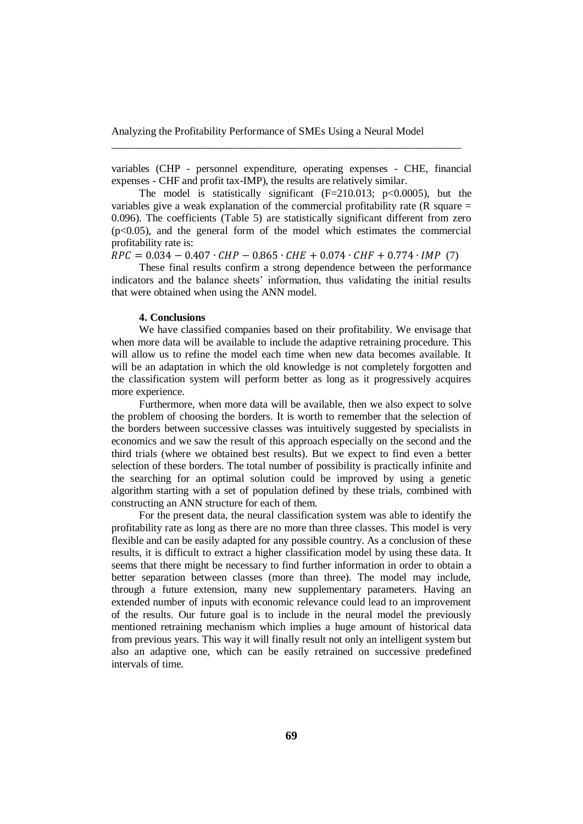variables (CHP - personnel expenditure, operating expenses - CHE, financial expenses - CHF and profit tax-IMP), the results are relatively similar.

\_\_\_\_\_\_\_\_\_\_\_\_\_\_\_\_\_\_\_\_\_\_\_\_\_\_\_\_\_\_\_\_\_\_\_\_\_\_\_\_\_\_\_\_\_\_\_\_\_\_\_\_\_\_\_\_\_\_\_\_\_\_\_\_\_

The model is statistically significant  $(F=210.013; p<0.0005)$ , but the variables give a weak explanation of the commercial profitability rate  $(R \text{ square} =$ 0.096). The coefficients (Table 5) are statistically significant different from zero  $(p<0.05)$ , and the general form of the model which estimates the commercial profitability rate is:

 $RPC = 0.034 - 0.407 \cdot CHP - 0.865 \cdot CHE + 0.074 \cdot CHF + 0.774 \cdot IMP$  (7)

These final results confirm a strong dependence between the performance indicators and the balance sheets' information, thus validating the initial results that were obtained when using the ANN model.

## **4. Conclusions**

We have classified companies based on their profitability. We envisage that when more data will be available to include the adaptive retraining procedure. This will allow us to refine the model each time when new data becomes available. It will be an adaptation in which the old knowledge is not completely forgotten and the classification system will perform better as long as it progressively acquires more experience.

Furthermore, when more data will be available, then we also expect to solve the problem of choosing the borders. It is worth to remember that the selection of the borders between successive classes was intuitively suggested by specialists in economics and we saw the result of this approach especially on the second and the third trials (where we obtained best results). But we expect to find even a better selection of these borders. The total number of possibility is practically infinite and the searching for an optimal solution could be improved by using a genetic algorithm starting with a set of population defined by these trials, combined with constructing an ANN structure for each of them.

For the present data, the neural classification system was able to identify the profitability rate as long as there are no more than three classes. This model is very flexible and can be easily adapted for any possible country. As a conclusion of these results, it is difficult to extract a higher classification model by using these data. It seems that there might be necessary to find further information in order to obtain a better separation between classes (more than three). The model may include, through a future extension, many new supplementary parameters. Having an extended number of inputs with economic relevance could lead to an improvement of the results. Our future goal is to include in the neural model the previously mentioned retraining mechanism which implies a huge amount of historical data from previous years. This way it will finally result not only an intelligent system but also an adaptive one, which can be easily retrained on successive predefined intervals of time.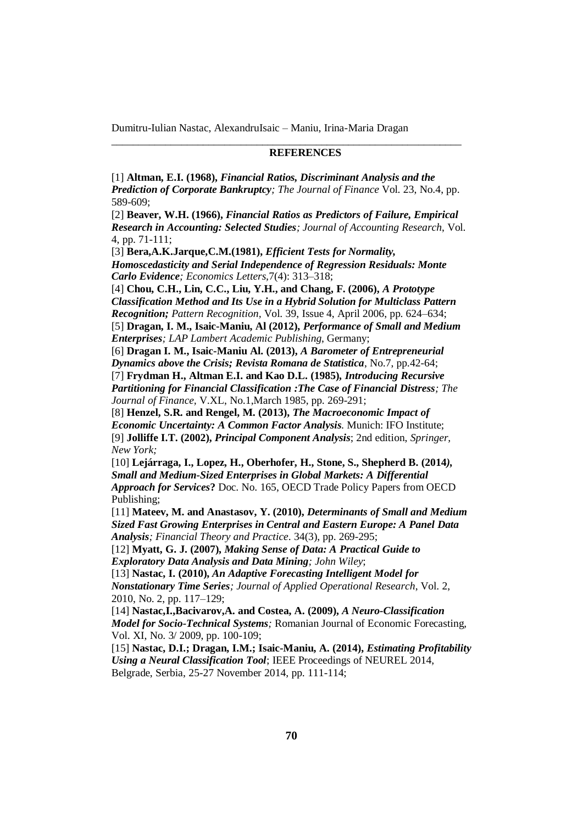### **REFERENCES**

[1] **Altman, E.I. (1968),** *Financial Ratios, Discriminant Analysis and the Prediction of Corporate Bankruptcy; The Journal of Finance* Vol. 23, No.4, pp. 589-609;

\_\_\_\_\_\_\_\_\_\_\_\_\_\_\_\_\_\_\_\_\_\_\_\_\_\_\_\_\_\_\_\_\_\_\_\_\_\_\_\_\_\_\_\_\_\_\_\_\_\_\_\_\_\_\_\_\_\_\_\_\_\_\_\_\_

[2] **Beaver, W.H. (1966),** *Financial Ratios as Predictors of Failure, Empirical Research in Accounting: Selected Studies; Journal of Accounting Research*, Vol. 4, pp. 71-111;

[3] **Bera,A.K.Jarque,C.M.(1981),** *Efficient Tests for Normality, Homoscedasticity and Serial Independence of Regression Residuals: Monte Carlo Evidence; Economics Letters,*7(4): 313–318;

[4] **Chou, C.H., Lin, C.C., Liu, Y.H., and Chang, F. (2006),** *A Prototype Classification Method and Its Use in a Hybrid Solution for Multiclass Pattern Recognition; Pattern Recognition,* Vol. 39, Issue 4, April 2006, pp. 624–634;

[5] **Dragan, I. M., Isaic-Maniu, Al (2012),** *Performance of Small and Medium Enterprises; LAP Lambert Academic Publishing*, Germany;

[6] **Dragan I. M., Isaic-Maniu Al. (2013),** *A Barometer of Entrepreneurial Dynamics above the Crisis; Revista Romana de Statistica*, No.7, pp.42-64;

[7] **Frydman H., Altman E.I. and Kao D.L. (1985),** *Introducing Recursive Partitioning for Financial Classification :The Case of Financial Distress; The Journal of Finance,* V.XL, No.1,March 1985, pp. 269-291;

[8] **Henzel, S.R. and Rengel, M. (2013),** *The Macroeconomic Impact of Economic Uncertainty: A Common Factor Analysis.* Munich: IFO Institute; [9] **Jolliffe I.T. (2002),** *Principal Component Analysis*; 2nd edition, *Springer, New York;*

[10] **Lejárraga, I., Lopez, H., Oberhofer, H., Stone, S., Shepherd B. (2014***), Small and Medium-Sized Enterprises in Global Markets: A Differential Approach for Services***?** Doc. No. 165, OECD Trade Policy Papers from OECD Publishing;

[11] **Mateev, M. and Anastasov, Y. (2010),** *Determinants of Small and Medium Sized Fast Growing Enterprises in Central and Eastern Europe: A Panel Data Analysis; Financial Theory and Practice*. 34(3), pp. 269-295;

[12] **Myatt, G. J. (2007),** *Making Sense of Data: A Practical Guide to Exploratory Data Analysis and Data Mining; John Wiley*;

[13] **Nastac, I. (2010),** *An Adaptive Forecasting Intelligent Model for Nonstationary Time Series; Journal of Applied Operational Research*, Vol. 2, 2010, No. 2, pp. 117–129;

[14] **Nastac,I.,Bacivarov,A. and Costea, A. (2009),** *A Neuro-Classification Model for Socio-Technical Systems;* Romanian Journal of Economic Forecasting, Vol. XI, No. 3/ 2009, pp. 100-109;

[15] **Nastac, D.I.; Dragan, I.M.; Isaic-Maniu, A. (2014),** *Estimating Profitability Using a Neural Classification Tool*; IEEE Proceedings of NEUREL 2014, Belgrade, Serbia, 25-27 November 2014, pp. 111-114;